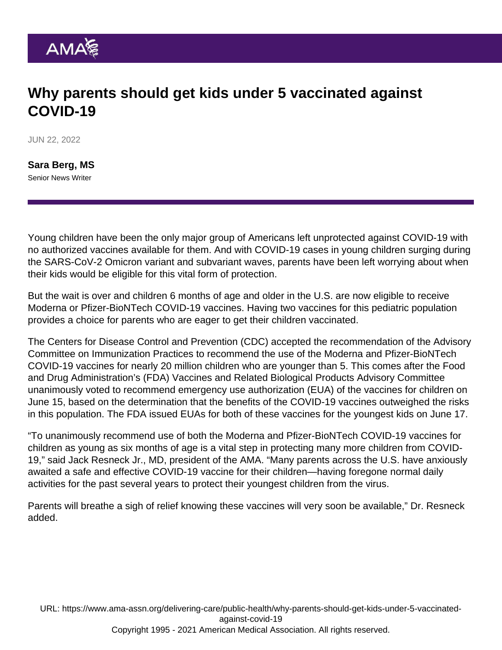## Why parents should get kids under 5 vaccinated against COVID-19

JUN 22, 2022

[Sara Berg, MS](https://www.ama-assn.org/news-leadership-viewpoints/authors-news-leadership-viewpoints/sara-berg-ms) Senior News Writer

Young children have been the only major group of Americans left unprotected against COVID-19 with no authorized vaccines available for them. And with COVID-19 cases in young children surging during the SARS-CoV-2 Omicron variant and subvariant waves, parents have been left worrying about when their kids would be eligible for this vital form of protection.

But the wait is over and children 6 months of age and older in the U.S. are now eligible to receive Moderna or Pfizer-BioNTech COVID-19 vaccines. Having two vaccines for this pediatric population provides a choice for parents who are eager to get their children vaccinated.

The Centers for Disease Control and Prevention (CDC) accepted the recommendation of the Advisory Committee on Immunization Practices to recommend the use of the Moderna and Pfizer-BioNTech COVID-19 vaccines for nearly 20 million children who are younger than 5. This comes after the Food and Drug Administration's (FDA) Vaccines and Related Biological Products Advisory Committee unanimously voted to recommend emergency use authorization (EUA) of the vaccines for children on June 15, based on the determination that the benefits of the COVID-19 vaccines outweighed the risks in this population. The FDA issued EUAs for both of these vaccines for the youngest kids on June 17.

"To unanimously recommend use of both the Moderna and Pfizer-BioNTech COVID-19 vaccines for children as young as six months of age is a vital step in protecting many more children from COVID-19," said [Jack Resneck Jr., MD](https://www.ama-assn.org/about/board-trustees/jack-resneck-jr-md), president of the AMA. "Many parents across the U.S. have anxiously awaited a safe and effective COVID-19 vaccine for their children—having foregone normal daily activities for the past several years to protect their youngest children from the virus.

Parents will breathe a sigh of relief knowing these vaccines will very soon be available," Dr. Resneck added.

URL: [https://www.ama-assn.org/delivering-care/public-health/why-parents-should-get-kids-under-5-vaccinated](https://www.ama-assn.org/delivering-care/public-health/why-parents-should-get-kids-under-5-vaccinated-against-covid-19)[against-covid-19](https://www.ama-assn.org/delivering-care/public-health/why-parents-should-get-kids-under-5-vaccinated-against-covid-19) Copyright 1995 - 2021 American Medical Association. All rights reserved.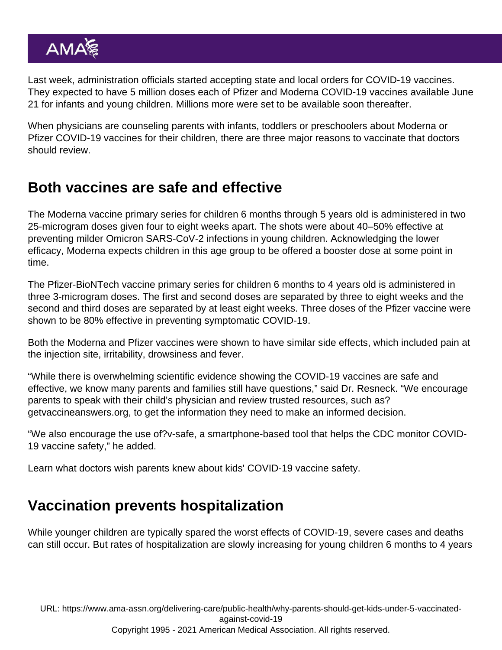Last week, administration officials started accepting state and local orders for COVID-19 vaccines. They expected to have 5 million doses each of Pfizer and Moderna COVID-19 vaccines available June 21 for infants and young children. Millions more were set to be available soon thereafter.

When physicians are counseling parents with infants, toddlers or preschoolers about Moderna or Pfizer COVID-19 vaccines for their children, there are three major reasons to vaccinate that doctors should review.

## Both vaccines are safe and effective

The Moderna vaccine primary series for children 6 months through 5 years old is administered in two 25-microgram doses given four to eight weeks apart. The shots were about 40–50% effective at preventing milder Omicron SARS-CoV-2 infections in young children. Acknowledging the lower efficacy, Moderna expects children in this age group to be offered a booster dose at some point in time.

The Pfizer-BioNTech vaccine primary series for children 6 months to 4 years old is administered in three 3-microgram doses. The first and second doses are separated by three to eight weeks and the second and third doses are separated by at least eight weeks. Three doses of the Pfizer vaccine were shown to be 80% effective in preventing symptomatic COVID-19.

Both the Moderna and Pfizer vaccines were shown to have similar side effects, which included pain at the injection site, irritability, drowsiness and fever.

"While there is overwhelming scientific evidence showing the COVID-19 vaccines are safe and effective, we know many parents and families still have questions," said Dr. Resneck. "We encourage parents to speak with their child's physician and review trusted resources, such as? [getvaccineanswers.org,](https://getvaccineanswers.org/) to get the information they need to make an informed decision.

"We also encourage the use of[?v-safe,](https://www.cdc.gov/coronavirus/2019-ncov/vaccines/safety/vsafe.html) a smartphone-based tool that helps the CDC monitor COVID-19 vaccine safety," he added.

Learn what doctors [wish parents knew about kids' COVID-19 vaccine safety](https://www.ama-assn.org/delivering-care/population-care/what-doctors-wish-parents-knew-about-kids-covid-19-vaccine-safety).

## Vaccination prevents hospitalization

While younger children are typically spared the worst effects of COVID-19, severe cases and deaths can still occur. But rates of hospitalization are slowly increasing for young children 6 months to 4 years

URL: [https://www.ama-assn.org/delivering-care/public-health/why-parents-should-get-kids-under-5-vaccinated](https://www.ama-assn.org/delivering-care/public-health/why-parents-should-get-kids-under-5-vaccinated-against-covid-19)[against-covid-19](https://www.ama-assn.org/delivering-care/public-health/why-parents-should-get-kids-under-5-vaccinated-against-covid-19) Copyright 1995 - 2021 American Medical Association. All rights reserved.